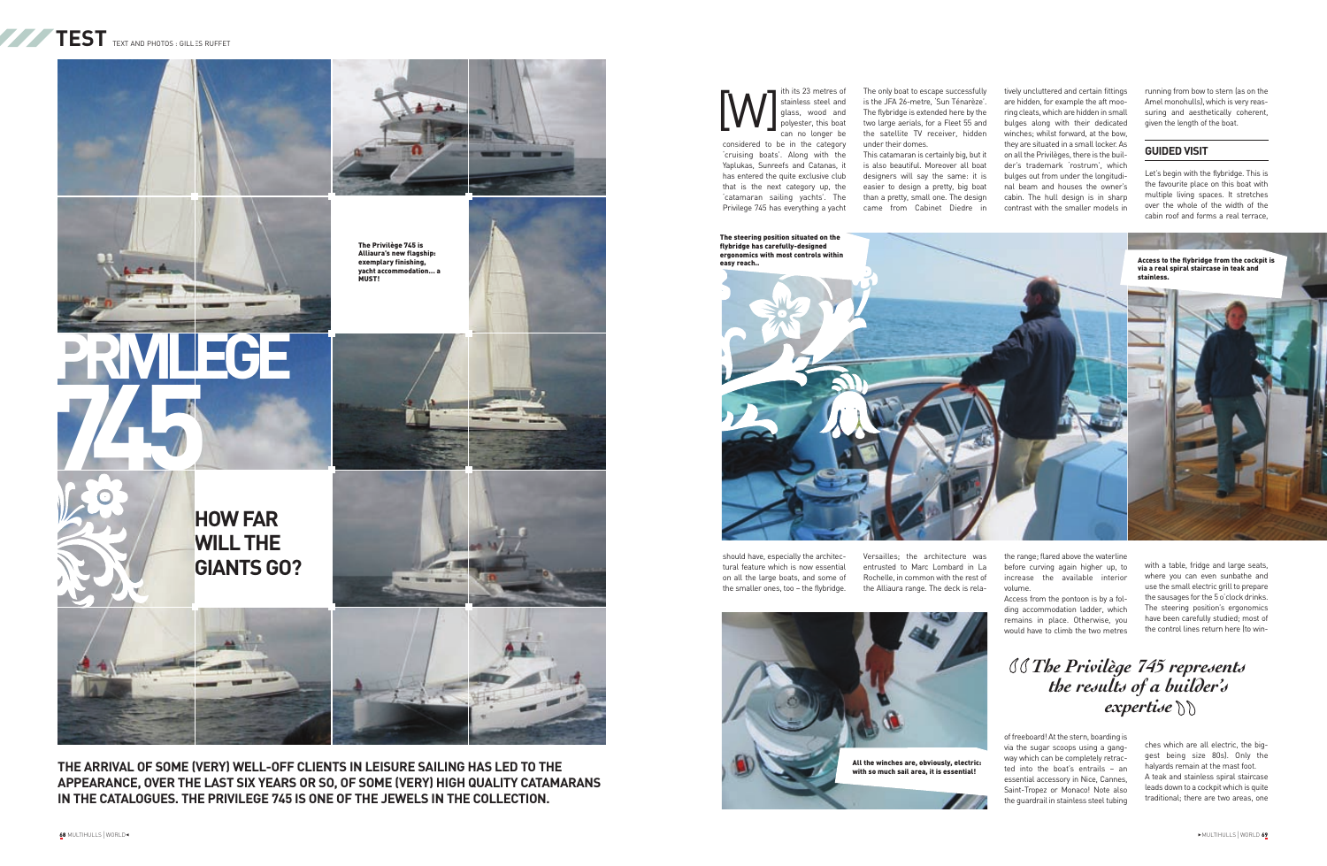should have, especially the architectural feature which is now essential on all the large boats, and some of the smaller ones, too – the flybridge.

The only boat to escape successfully is the JFA 26-metre, 'Sun Ténarèze'. The flybridge is extended here by the two large aerials, for a Fleet 55 and the satellite TV receiver, hidden under their domes.

This catamaran is certainly big, but it is also beautiful. Moreover all boat designers will say the same: it is easier to design a pretty, big boat than a pretty, small one. The design came from Cabinet Diedre in

Versailles; the architecture was entrusted to Marc Lombard in La Rochelle, in common with the rest of the Alliaura range. The deck is rela-

tively uncluttered and certain fittings are hidden, for example the aft mooring cleats, which are hidden in small bulges along with their dedicated winches; whilst forward, at the bow, they are situated in a small locker. As on all the Privilèges, there is the builder's trademark 'rostrum', which bulges out from under the longitudinal beam and houses the owner's cabin. The hull design is in sharp contrast with the smaller models in

*The Privilège 745 represents* " *the results of a builder's*  $\textit{expertise} \,\mathrm{\%}$ 



ith its 23 metres of stainless steel and wood and polyester, this boat can no longer be considered to be in the category 'cruising boats'. Along with the Yaplukas, Sunreefs and Catanas, it has entered the quite exclusive club that is the next category up, the 'catamaran sailing yachts'. The Privilege 745 has everything a yacht [W]

> Access from the pontoon is by a folding accommodation ladder, which remains in place. Otherwise, you would have to climb the two metres

of freeboard! At the stern, boarding is via the sugar scoops using a gangway which can be completely retracted into the boat's entrails – an essential accessory in Nice, Cannes, Saint-Tropez or Monaco! Note also the guardrail in stainless steel tubing running from bow to stern (as on the Amel monohulls), which is very reassuring and aesthetically coherent, given the length of the boat.

#### **GUIDED VISIT**

Let's begin with the flybridge. This is the favourite place on this boat with multiple living spaces. It stretches over the whole of the width of the cabin roof and forms a real terrace,

with a table, fridge and large seats, where you can even sunbathe and use the small electric grill to prepare the sausages for the 5 o'clock drinks. The steering position's ergonomics have been carefully studied; most of the control lines return here (to win-

ches which are all electric, the big gest being size 80s). Only the halyards remain at the mast foot. A teak and stainless spiral staircase leads down to a cockpit which is quite traditional; there are two areas, one

**THE ARRIVAL OF SOME (VERY) WELL-OFF CLIENTS IN LEISURE SAILING HAS LED TO THE APPEARANCE, OVER THE LAST SIX YEARS OR SO, OF SOME (VERY) HIGH QUALITY CATAMARANS IN THE CATALOGUES. THE PRIVILEGE 745 IS ONE OF THE JEWELS IN THE COLLECTION.** 







flybridge has carefully-designed ergonomics with most controls within easy reach..